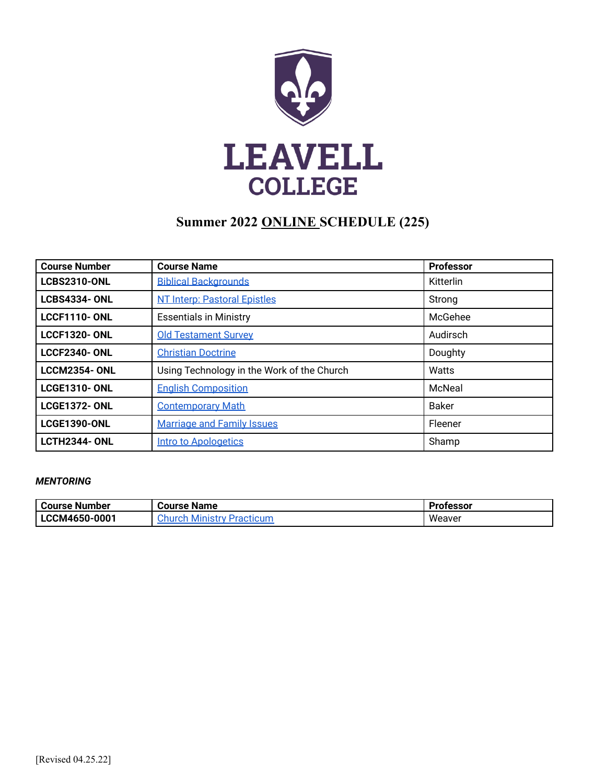

# **Summer 2022 ONLINE SCHEDULE (225)**

| <b>Course Number</b> | <b>Course Name</b>                         | <b>Professor</b> |
|----------------------|--------------------------------------------|------------------|
| <b>LCBS2310-ONL</b>  | <b>Biblical Backgrounds</b>                | Kitterlin        |
| <b>LCBS4334-ONL</b>  | <b>NT Interp: Pastoral Epistles</b>        | Strong           |
| <b>LCCF1110- ONL</b> | <b>Essentials in Ministry</b>              | McGehee          |
| <b>LCCF1320-ONL</b>  | <b>Old Testament Survey</b>                | Audirsch         |
| <b>LCCF2340-ONL</b>  | <b>Christian Doctrine</b>                  | Doughty          |
| <b>LCCM2354-ONL</b>  | Using Technology in the Work of the Church | Watts            |
| <b>LCGE1310- ONL</b> | <b>English Composition</b>                 | McNeal           |
| <b>LCGE1372-ONL</b>  | <b>Contemporary Math</b>                   | <b>Baker</b>     |
| <b>LCGE1390-ONL</b>  | <b>Marriage and Family Issues</b>          | Fleener          |
| <b>LCTH2344-ONL</b>  | <b>Intro to Apologetics</b>                | Shamp            |

### *MENTORING*

| Course Number | <b>Course Name</b>                | <b>Professor</b> |
|---------------|-----------------------------------|------------------|
| LCCM4650-0001 | inistry Practicum<br>:hurch<br>MI | Weaver           |